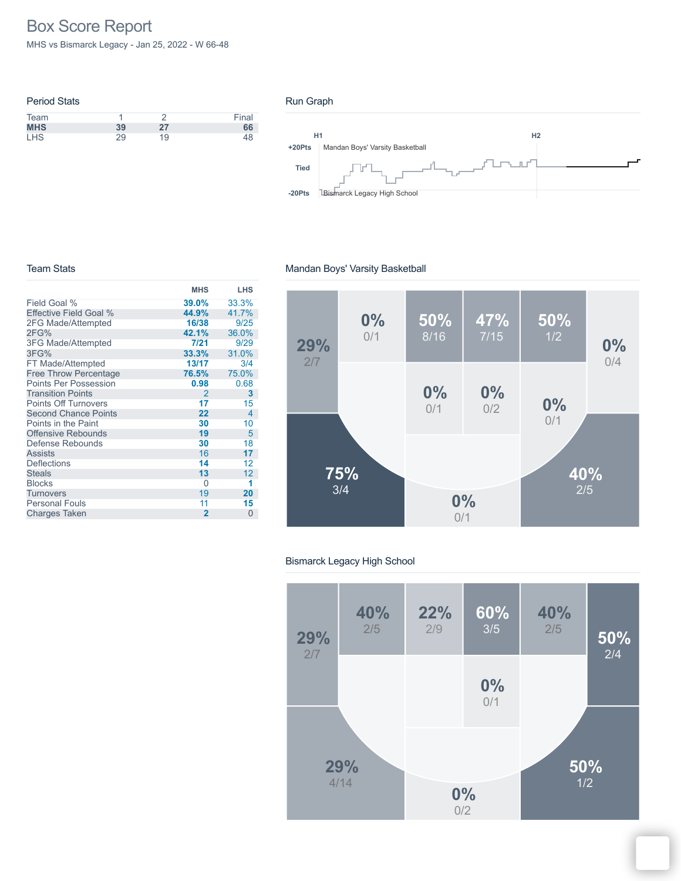# Box Score Report

MHS vs Bismarck Legacy - Jan 25, 2022 - W 66-48

| <b>Period Stats</b> |    |    |       |
|---------------------|----|----|-------|
| Team                |    |    | Final |
| <b>MHS</b>          | 39 | 27 | 66    |
| <b>LHS</b>          | 29 | 19 | 48    |

### Run Graph



#### Team Stats

# Mandan Boys' Varsity Basketball

|                              | <b>MHS</b>     | LHS      |
|------------------------------|----------------|----------|
| Field Goal %                 | 39.0%          | 33.3%    |
| Effective Field Goal %       | 44.9%          | 41.7%    |
| 2FG Made/Attempted           | 16/38          | 9/25     |
| 2FG%                         | 42.1%          | 36.0%    |
| 3FG Made/Attempted           | 7/21           | 9/29     |
| 3FG%                         | 33.3%          | 31.0%    |
| FT Made/Attempted            | 13/17          | 3/4      |
| <b>Free Throw Percentage</b> | 76.5%          | 75.0%    |
| <b>Points Per Possession</b> | 0.98           | 0.68     |
| <b>Transition Points</b>     | $\mathcal{P}$  | 3        |
| <b>Points Off Turnovers</b>  | 17             | 15       |
| <b>Second Chance Points</b>  | 22             | 4        |
| Points in the Paint          | 30             | 10       |
| <b>Offensive Rebounds</b>    | 19             | 5        |
| Defense Rebounds             | 30             | 18       |
| <b>Assists</b>               | 16             | 17       |
| Deflections                  | 14             | 12       |
| <b>Steals</b>                | 13             | 12       |
| <b>Blocks</b>                | 0              | 1        |
| <b>Turnovers</b>             | 19             | 20       |
| <b>Personal Fouls</b>        | 11             | 15       |
| <b>Charges Taken</b>         | $\overline{2}$ | $\Omega$ |



### Bismarck Legacy High School